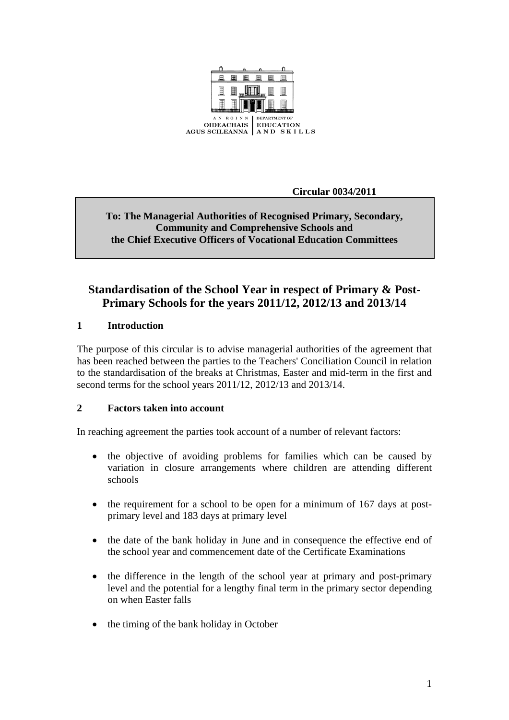

**Circular 0034/2011** 

# **To: The Managerial Authorities of Recognised Primary, Secondary, Community and Comprehensive Schools and the Chief Executive Officers of Vocational Education Committees**

# **Standardisation of the School Year in respect of Primary & Post-Primary Schools for the years 2011/12, 2012/13 and 2013/14**

# **1 Introduction**

The purpose of this circular is to advise managerial authorities of the agreement that has been reached between the parties to the Teachers' Conciliation Council in relation to the standardisation of the breaks at Christmas, Easter and mid-term in the first and second terms for the school years 2011/12, 2012/13 and 2013/14.

# **2 Factors taken into account**

In reaching agreement the parties took account of a number of relevant factors:

- the objective of avoiding problems for families which can be caused by variation in closure arrangements where children are attending different schools
- the requirement for a school to be open for a minimum of 167 days at postprimary level and 183 days at primary level
- the date of the bank holiday in June and in consequence the effective end of the school year and commencement date of the Certificate Examinations
- the difference in the length of the school year at primary and post-primary level and the potential for a lengthy final term in the primary sector depending on when Easter falls
- the timing of the bank holiday in October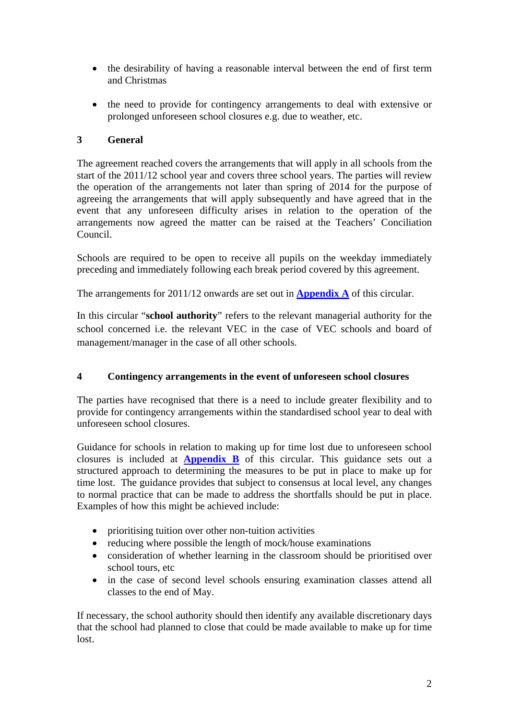- the desirability of having a reasonable interval between the end of first term and Christmas
- the need to provide for contingency arrangements to deal with extensive or prolonged unforeseen school closures e.g. due to weather, etc.

# **3 General**

The agreement reached covers the arrangements that will apply in all schools from the start of the 2011/12 school year and covers three school years. The parties will review the operation of the arrangements not later than spring of 2014 for the purpose of agreeing the arrangements that will apply subsequently and have agreed that in the event that any unforeseen difficulty arises in relation to the operation of the arrangements now agreed the matter can be raised at the Teachers' Conciliation Council.

Schools are required to be open to receive all pupils on the weekday immediately preceding and immediately following each break period covered by this agreement.

The arrangements for 2011/12 onwards are set out in **[Appendix A](#page-4-0)** of this circular.

In this circular "**school authority**" refers to the relevant managerial authority for the school concerned i.e. the relevant VEC in the case of VEC schools and board of management/manager in the case of all other schools.

# **4 Contingency arrangements in the event of unforeseen school closures**

The parties have recognised that there is a need to include greater flexibility and to provide for contingency arrangements within the standardised school year to deal with unforeseen school closures.

Guidance for schools in relation to making up for time lost due to unforeseen school closures is included at **[Appendix B](#page-7-0)** of this circular. This guidance sets out a structured approach to determining the measures to be put in place to make up for time lost. The guidance provides that subject to consensus at local level, any changes to normal practice that can be made to address the shortfalls should be put in place. Examples of how this might be achieved include:

- prioritising tuition over other non-tuition activities
- reducing where possible the length of mock/house examinations
- consideration of whether learning in the classroom should be prioritised over school tours, etc
- in the case of second level schools ensuring examination classes attend all classes to the end of May.

If necessary, the school authority should then identify any available discretionary days that the school had planned to close that could be made available to make up for time lost.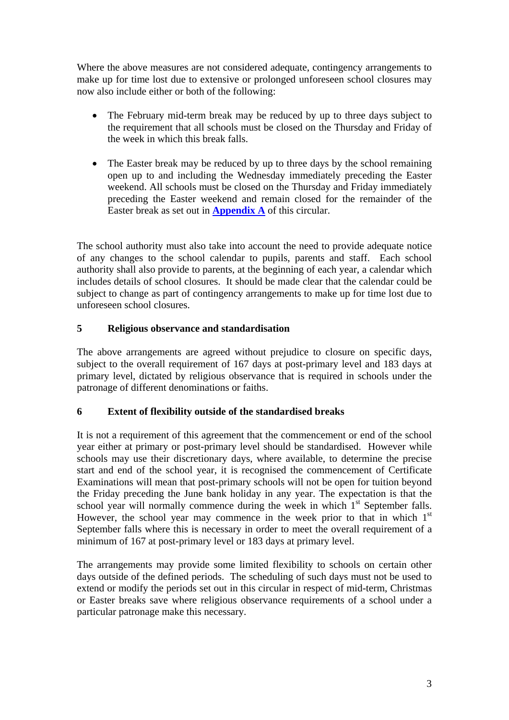Where the above measures are not considered adequate, contingency arrangements to make up for time lost due to extensive or prolonged unforeseen school closures may now also include either or both of the following:

- The February mid-term break may be reduced by up to three days subject to the requirement that all schools must be closed on the Thursday and Friday of the week in which this break falls.
- The Easter break may be reduced by up to three days by the school remaining open up to and including the Wednesday immediately preceding the Easter weekend. All schools must be closed on the Thursday and Friday immediately preceding the Easter weekend and remain closed for the remainder of the Easter break as set out in **[Appendix A](#page-4-0)** of this circular.

The school authority must also take into account the need to provide adequate notice of any changes to the school calendar to pupils, parents and staff. Each school authority shall also provide to parents, at the beginning of each year, a calendar which includes details of school closures. It should be made clear that the calendar could be subject to change as part of contingency arrangements to make up for time lost due to unforeseen school closures.

# **5 Religious observance and standardisation**

The above arrangements are agreed without prejudice to closure on specific days, subject to the overall requirement of 167 days at post-primary level and 183 days at primary level, dictated by religious observance that is required in schools under the patronage of different denominations or faiths.

# **6 Extent of flexibility outside of the standardised breaks**

It is not a requirement of this agreement that the commencement or end of the school year either at primary or post-primary level should be standardised. However while schools may use their discretionary days, where available, to determine the precise start and end of the school year, it is recognised the commencement of Certificate Examinations will mean that post-primary schools will not be open for tuition beyond the Friday preceding the June bank holiday in any year. The expectation is that the school year will normally commence during the week in which  $1<sup>st</sup>$  September falls. However, the school year may commence in the week prior to that in which  $1<sup>st</sup>$ September falls where this is necessary in order to meet the overall requirement of a minimum of 167 at post-primary level or 183 days at primary level.

The arrangements may provide some limited flexibility to schools on certain other days outside of the defined periods. The scheduling of such days must not be used to extend or modify the periods set out in this circular in respect of mid-term, Christmas or Easter breaks save where religious observance requirements of a school under a particular patronage make this necessary.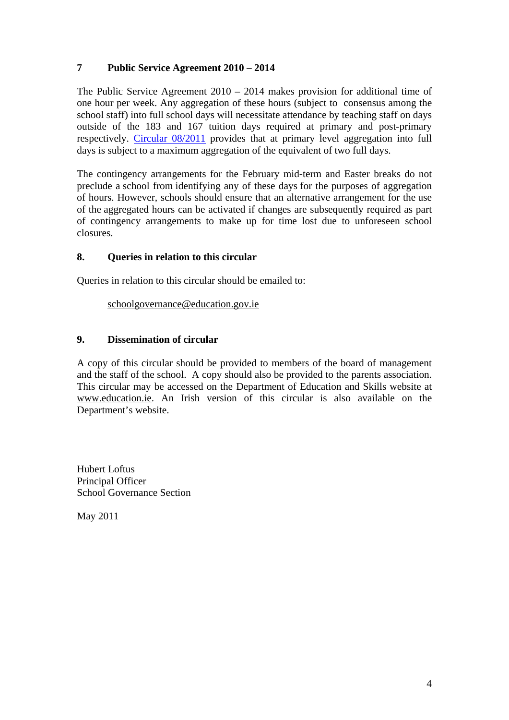# **7 Public Service Agreement 2010 – 2014**

The Public Service Agreement 2010 – 2014 makes provision for additional time of one hour per week. Any aggregation of these hours (subject to consensus among the school staff) into full school days will necessitate attendance by teaching staff on days outside of the 183 and 167 tuition days required at primary and post-primary respectively. [Circular 08/2011](http://www.education.ie/en/Circulars-and-Forms/Active-Circulars/cl0008_2011.pdf) provides that at primary level aggregation into full days is subject to a maximum aggregation of the equivalent of two full days.

The contingency arrangements for the February mid-term and Easter breaks do not preclude a school from identifying any of these days for the purposes of aggregation of hours. However, schools should ensure that an alternative arrangement for the use of the aggregated hours can be activated if changes are subsequently required as part of contingency arrangements to make up for time lost due to unforeseen school closures.

# **8. Queries in relation to this circular**

Queries in relation to this circular should be emailed to:

[schoolgovernance@education.gov.ie](mailto:schoolgovernance@education.gov.ie)

# **9. Dissemination of circular**

A copy of this circular should be provided to members of the board of management and the staff of the school. A copy should also be provided to the parents association. This circular may be accessed on the Department of Education and Skills website at [www.education.ie](http://www.education.ie/). An Irish version of this circular is also available on the Department's website.

Hubert Loftus Principal Officer School Governance Section

May 2011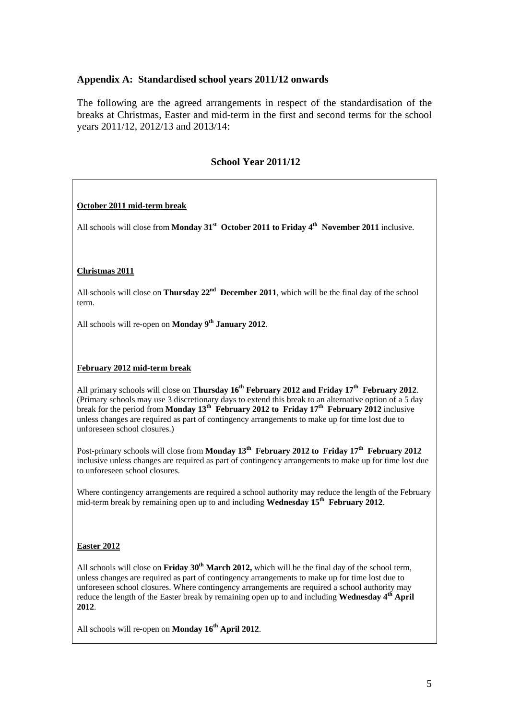### <span id="page-4-0"></span>**Appendix A: Standardised school years 2011/12 onwards**

The following are the agreed arrangements in respect of the standardisation of the breaks at Christmas, Easter and mid-term in the first and second terms for the school years 2011/12, 2012/13 and 2013/14:

### **School Year 2011/12**

#### **October 2011 mid-term break**

All schools will close from **Monday 31<sup>st</sup>** October 2011 to Friday 4<sup>th</sup> November 2011 inclusive.

#### **Christmas 2011**

All schools will close on **Thursday 22nd December 2011**, which will be the final day of the school term.

All schools will re-open on **Monday** 9<sup>th</sup> January 2012.

#### **February 2012 mid-term break**

All primary schools will close on **Thursday 16<sup>th</sup> February 2012 and Friday 17<sup>th</sup> February 2012.** (Primary schools may use 3 discretionary days to extend this break to an alternative option of a 5 day break for the period from **Monday 13<sup>th</sup>** February 2012 to Friday  $17<sup>th</sup>$  February 2012 inclusive unless changes are required as part of contingency arrangements to make up for time lost due to unforeseen school closures.)

Post-primary schools will close from **Monday 13<sup>th</sup> February 2012 to Friday 17<sup>th</sup> February 2012** inclusive unless changes are required as part of contingency arrangements to make up for time lost due to unforeseen school closures.

Where contingency arrangements are required a school authority may reduce the length of the February mid-term break by remaining open up to and including **Wednesday 15th February 2012**.

### **Easter 2012**

All schools will close on **Friday 30<sup>th</sup> March 2012**, which will be the final day of the school term, unless changes are required as part of contingency arrangements to make up for time lost due to unforeseen school closures. Where contingency arrangements are required a school authority may reduce the length of the Easter break by remaining open up to and including **Wednesday 4<sup>th</sup> April 2012**.

All schools will re-open on **Monday 16<sup>th</sup> April 2012**.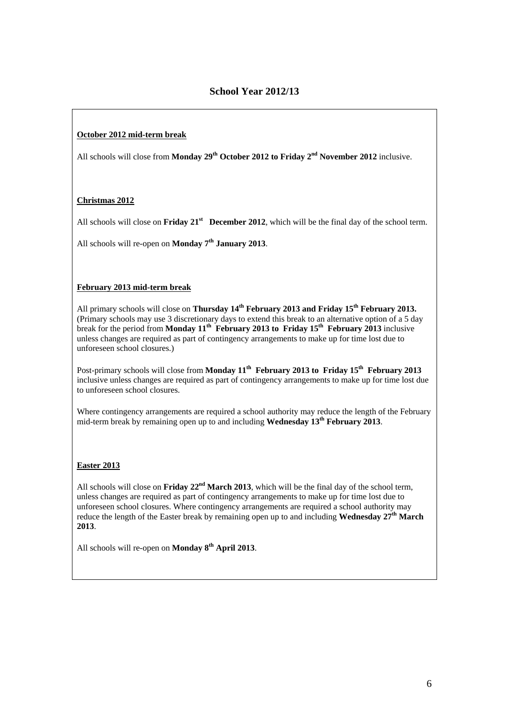### **October 2012 mid-term break**

All schools will close from **Monday 29<sup>th</sup> October 2012 to Friday 2<sup>nd</sup> November 2012** inclusive.

### **Christmas 2012**

All schools will close on **Friday 21<sup>st</sup>** December 2012, which will be the final day of the school term.

All schools will re-open on **Monday** 7<sup>th</sup> January 2013.

### **February 2013 mid-term break**

All primary schools will close on **Thursday 14<sup>th</sup> February 2013 and Friday 15<sup>th</sup> February 2013.** (Primary schools may use 3 discretionary days to extend this break to an alternative option of a 5 day break for the period from **Monday 11<sup>th</sup>** February 2013 to Friday 15<sup>th</sup> February 2013 inclusive unless changes are required as part of contingency arrangements to make up for time lost due to unforeseen school closures.)

Post-primary schools will close from **Monday 11<sup>th</sup> February 2013 to Friday 15<sup>th</sup> February 2013** inclusive unless changes are required as part of contingency arrangements to make up for time lost due to unforeseen school closures.

Where contingency arrangements are required a school authority may reduce the length of the February mid-term break by remaining open up to and including **Wednesday 13th February 2013**.

### **Easter 2013**

All schools will close on **Friday 22<sup>nd</sup> March 2013**, which will be the final day of the school term, unless changes are required as part of contingency arrangements to make up for time lost due to unforeseen school closures. Where contingency arrangements are required a school authority may reduce the length of the Easter break by remaining open up to and including **Wednesday 27th March 2013**.

All schools will re-open on **Monday 8th April 2013**.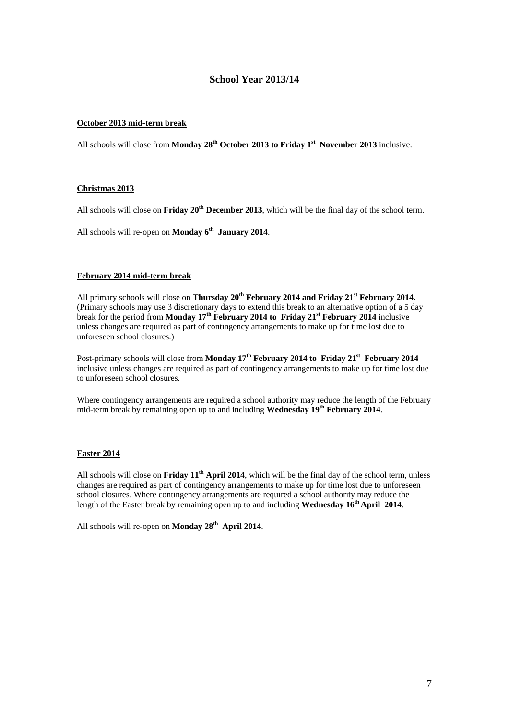### **October 2013 mid-term break**

All schools will close from **Monday 28<sup>th</sup> October 2013 to Friday 1<sup>st</sup> November 2013** inclusive.

### **Christmas 2013**

All schools will close on **Friday 20<sup>th</sup> December 2013**, which will be the final day of the school term.

All schools will re-open on **Monday 6<sup>th</sup> January 2014**.

### **February 2014 mid-term break**

All primary schools will close on **Thursday 20<sup>th</sup> February 2014 and Friday 21<sup>st</sup> February 2014.** (Primary schools may use 3 discretionary days to extend this break to an alternative option of a 5 day break for the period from **Monday 17<sup>th</sup> February 2014 to Friday 21<sup>st</sup> February 2014** inclusive unless changes are required as part of contingency arrangements to make up for time lost due to unforeseen school closures.)

Post-primary schools will close from **Monday 17<sup>th</sup> February 2014 to Friday 21<sup>st</sup> February 2014** inclusive unless changes are required as part of contingency arrangements to make up for time lost due to unforeseen school closures.

Where contingency arrangements are required a school authority may reduce the length of the February mid-term break by remaining open up to and including **Wednesday 19<sup>th</sup> February 2014**.

### **Easter 2014**

All schools will close on **Friday 11th April 2014**, which will be the final day of the school term, unless changes are required as part of contingency arrangements to make up for time lost due to unforeseen school closures. Where contingency arrangements are required a school authority may reduce the length of the Easter break by remaining open up to and including **Wednesday 16<sup>th</sup> April 2014**.

All schools will re-open on **Monday 28<sup>th</sup> April 2014**.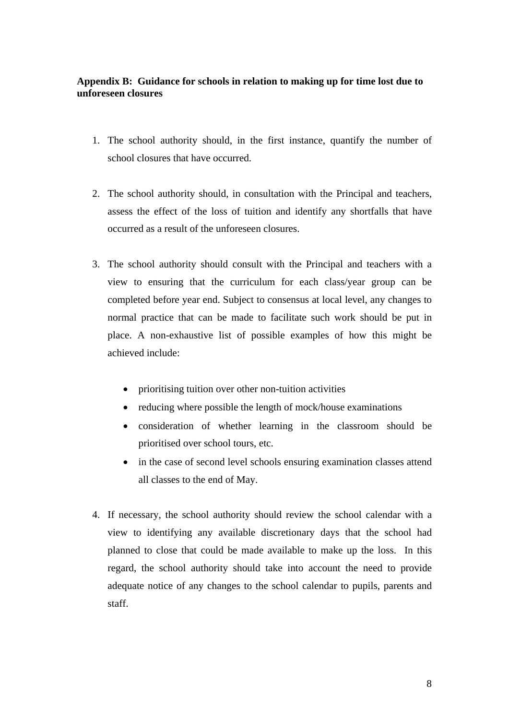# <span id="page-7-0"></span>**Appendix B: Guidance for schools in relation to making up for time lost due to unforeseen closures**

- 1. The school authority should, in the first instance, quantify the number of school closures that have occurred.
- 2. The school authority should, in consultation with the Principal and teachers, assess the effect of the loss of tuition and identify any shortfalls that have occurred as a result of the unforeseen closures.
- 3. The school authority should consult with the Principal and teachers with a view to ensuring that the curriculum for each class/year group can be completed before year end. Subject to consensus at local level, any changes to normal practice that can be made to facilitate such work should be put in place. A non-exhaustive list of possible examples of how this might be achieved include:
	- prioritising tuition over other non-tuition activities
	- reducing where possible the length of mock/house examinations
	- consideration of whether learning in the classroom should be prioritised over school tours, etc.
	- in the case of second level schools ensuring examination classes attend all classes to the end of May.
- 4. If necessary, the school authority should review the school calendar with a view to identifying any available discretionary days that the school had planned to close that could be made available to make up the loss. In this regard, the school authority should take into account the need to provide adequate notice of any changes to the school calendar to pupils, parents and staff.